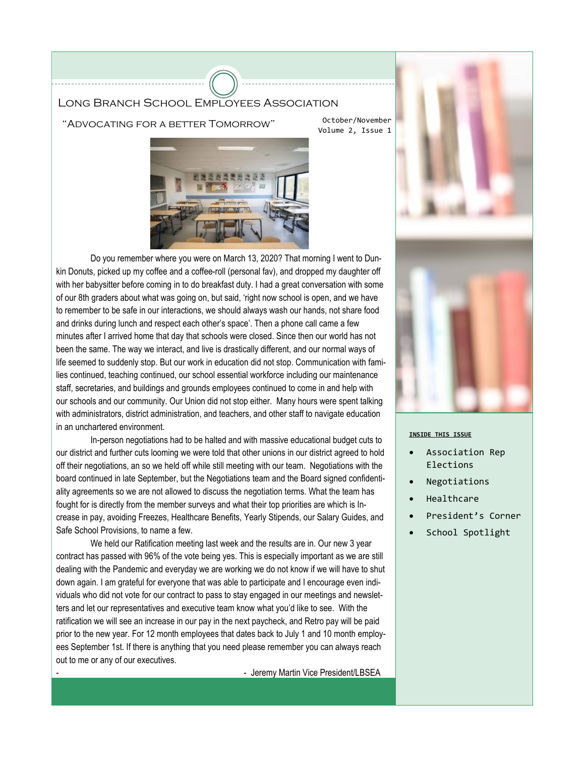### Long Branch School Employees Association

"Advocating for a better Tomorrow"

October/November Volume 2, Issue 1



Do you remember where you were on March 13, 2020? That morning I went to Dunkin Donuts, picked up my coffee and a coffee-roll (personal fav), and dropped my daughter off with her babysitter before coming in to do breakfast duty. I had a great conversation with some of our 8th graders about what was going on, but said, 'right now school is open, and we have to remember to be safe in our interactions, we should always wash our hands, not share food and drinks during lunch and respect each other's space'. Then a phone call came a few minutes after I arrived home that day that schools were closed. Since then our world has not been the same. The way we interact, and live is drastically different, and our normal ways of life seemed to suddenly stop. But our work in education did not stop. Communication with families continued, teaching continued, our school essential workforce including our maintenance staff, secretaries, and buildings and grounds employees continued to come in and help with our schools and our community. Our Union did not stop either. Many hours were spent talking with administrators, district administration, and teachers, and other staff to navigate education in an unchartered environment.

In-person negotiations had to be halted and with massive educational budget cuts to our district and further cuts looming we were told that other unions in our district agreed to hold off their negotiations, an so we held off while still meeting with our team. Negotiations with the board continued in late September, but the Negotiations team and the Board signed confidentiality agreements so we are not allowed to discuss the negotiation terms. What the team has fought for is directly from the member surveys and what their top priorities are which is Increase in pay, avoiding Freezes, Healthcare Benefits, Yearly Stipends, our Salary Guides, and Safe School Provisions, to name a few.

We held our Ratification meeting last week and the results are in. Our new 3 year contract has passed with 96% of the vote being yes. This is especially important as we are still dealing with the Pandemic and everyday we are working we do not know if we will have to shut down again. I am grateful for everyone that was able to participate and I encourage even individuals who did not vote for our contract to pass to stay engaged in our meetings and newsletters and let our representatives and executive team know what you'd like to see. With the ratification we will see an increase in our pay in the next paycheck, and Retro pay will be paid prior to the new year. For 12 month employees that dates back to July 1 and 10 month employees September 1st. If there is anything that you need please remember you can always reach out to me or any of our executives.

- Jeremy Martin Vice President/LBSEA



#### **INSIDE THIS ISSUE**

- Association Rep Elections
- Negotiations
- Healthcare
- President's Corner
- School Spotlight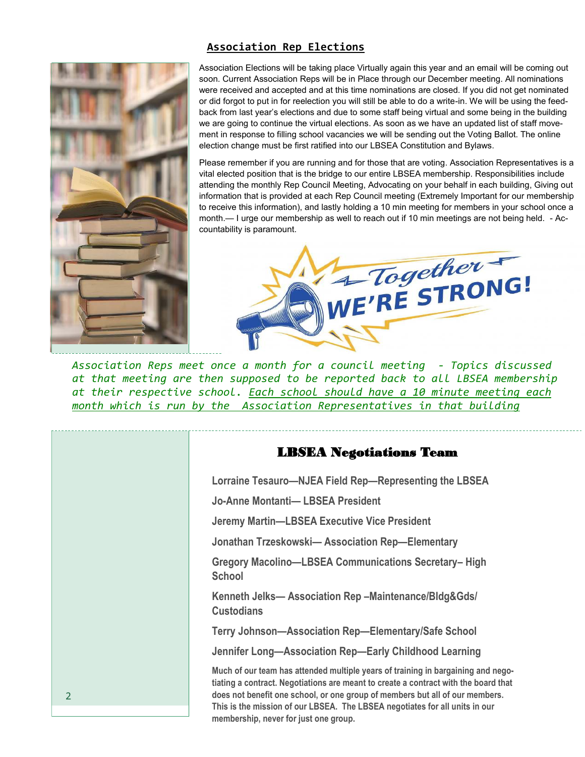

# **Association Rep Elections**

Association Elections will be taking place Virtually again this year and an email will be coming out soon. Current Association Reps will be in Place through our December meeting. All nominations were received and accepted and at this time nominations are closed. If you did not get nominated or did forgot to put in for reelection you will still be able to do a write-in. We will be using the feedback from last year's elections and due to some staff being virtual and some being in the building we are going to continue the virtual elections. As soon as we have an updated list of staff movement in response to filling school vacancies we will be sending out the Voting Ballot. The online election change must be first ratified into our LBSEA Constitution and Bylaws.

Please remember if you are running and for those that are voting. Association Representatives is a vital elected position that is the bridge to our entire LBSEA membership. Responsibilities include attending the monthly Rep Council Meeting, Advocating on your behalf in each building, Giving out information that is provided at each Rep Council meeting (Extremely Important for our membership to receive this information), and lastly holding a 10 min meeting for members in your school once a month.— I urge our membership as well to reach out if 10 min meetings are not being held. - Accountability is paramount.



*Association Reps meet once a month for a council meeting - Topics discussed at that meeting are then supposed to be reported back to all LBSEA membership at their respective school. Each school should have a 10 minute meeting each month which is run by the Association Representatives in that building*

## LBSEA Negotiations Team

**Lorraine Tesauro—NJEA Field Rep—Representing the LBSEA** 

**Jo-Anne Montanti— LBSEA President** 

**Jeremy Martin—LBSEA Executive Vice President** 

**Jonathan Trzeskowski— Association Rep—Elementary** 

**Gregory Macolino—LBSEA Communications Secretary– High School** 

**Kenneth Jelks— Association Rep –Maintenance/Bldg&Gds/ Custodians** 

**Terry Johnson—Association Rep—Elementary/Safe School** 

**Jennifer Long—Association Rep—Early Childhood Learning**

**Much of our team has attended multiple years of training in bargaining and negotiating a contract. Negotiations are meant to create a contract with the board that does not benefit one school, or one group of members but all of our members. This is the mission of our LBSEA. The LBSEA negotiates for all units in our membership, never for just one group.**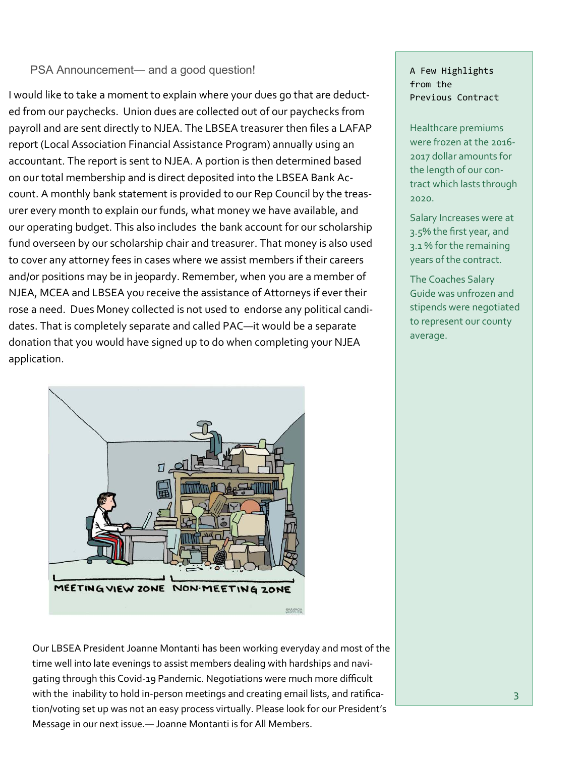### PSA Announcement— and a good question! A Few Highlights

I would like to take a moment to explain where your dues go that are deducted from our paychecks. Union dues are collected out of our paychecks from payroll and are sent directly to NJEA. The LBSEA treasurer then files a LAFAP report (Local Association Financial Assistance Program) annually using an accountant. The report is sent to NJEA. A portion is then determined based on our total membership and is direct deposited into the LBSEA Bank Account. A monthly bank statement is provided to our Rep Council by the treasurer every month to explain our funds, what money we have available, and our operating budget. This also includes the bank account for our scholarship fund overseen by our scholarship chair and treasurer. That money is also used to cover any attorney fees in cases where we assist members if their careers and/or positions may be in jeopardy. Remember, when you are a member of NJEA, MCEA and LBSEA you receive the assistance of Attorneys if ever their rose a need. Dues Money collected is not used to endorse any political candidates. That is completely separate and called PAC—it would be a separate donation that you would have signed up to do when completing your NJEA application.



Our LBSEA President Joanne Montanti has been working everyday and most of the time well into late evenings to assist members dealing with hardships and navigating through this Covid-19 Pandemic. Negotiations were much more difficult with the inability to hold in-person meetings and creating email lists, and ratification/voting set up was not an easy process virtually. Please look for our President's Message in our next issue.— Joanne Montanti is for All Members.

# from the Previous Contract

Healthcare premiums were frozen at the 2016- 2017 dollar amounts for the length of our contract which lasts through 2020.

Salary Increases were at 3.5% the first year, and 3.1 % for the remaining years of the contract.

The Coaches Salary Guide was unfrozen and stipends were negotiated to represent our county average.